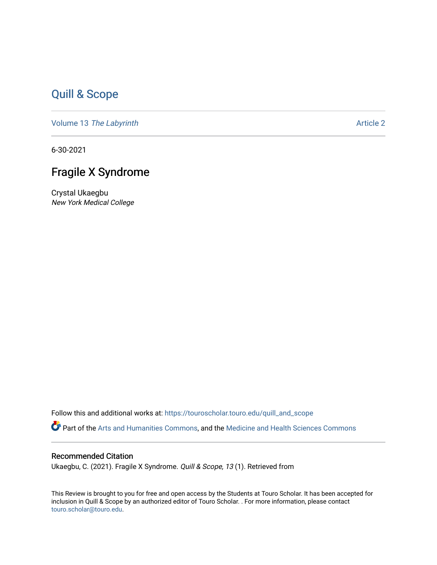# [Quill & Scope](https://touroscholar.touro.edu/quill_and_scope)

Volume 13 [The Labyrinth](https://touroscholar.touro.edu/quill_and_scope/vol13) Article 2

6-30-2021

# Fragile X Syndrome

Crystal Ukaegbu New York Medical College

Follow this and additional works at: [https://touroscholar.touro.edu/quill\\_and\\_scope](https://touroscholar.touro.edu/quill_and_scope?utm_source=touroscholar.touro.edu%2Fquill_and_scope%2Fvol13%2Fiss1%2F2&utm_medium=PDF&utm_campaign=PDFCoverPages)

Part of the [Arts and Humanities Commons,](http://network.bepress.com/hgg/discipline/438?utm_source=touroscholar.touro.edu%2Fquill_and_scope%2Fvol13%2Fiss1%2F2&utm_medium=PDF&utm_campaign=PDFCoverPages) and the [Medicine and Health Sciences Commons](http://network.bepress.com/hgg/discipline/648?utm_source=touroscholar.touro.edu%2Fquill_and_scope%2Fvol13%2Fiss1%2F2&utm_medium=PDF&utm_campaign=PDFCoverPages)

## Recommended Citation

Ukaegbu, C. (2021). Fragile X Syndrome. Quill & Scope, 13 (1). Retrieved from

This Review is brought to you for free and open access by the Students at Touro Scholar. It has been accepted for inclusion in Quill & Scope by an authorized editor of Touro Scholar. . For more information, please contact [touro.scholar@touro.edu](mailto:touro.scholar@touro.edu).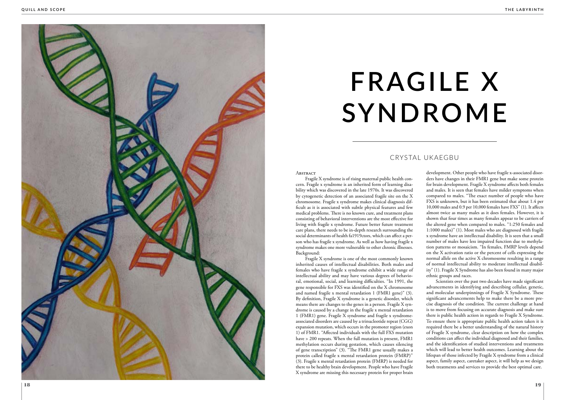# **FRAGILE X SYNDROME**

Fragile X syndrome is of rising maternal public health con cern. Fragile x syndrome is an inherited form of learning disa bility which was discovered in the late 1970s. It was discovered by cytogenetic detection of an associated fragile site on the X chromosome. Fragile x syndrome makes clinical diagnosis difficult as it is associated with subtle physical features and few medical problems. There is no known cure, and treatment plans consisting of behavioral interventions are the most effective for living with fragile x syndrome. Future better future treatment care plans, there needs to be in-depth research surrounding the social determinants of health fa1919ctors, which can affect a per son who has fragile x syndrome. As well as how having fragile x syndrome makes one more vulnerable to other chronic illnesses. Background:

Fragile X syndrome is one of the most commonly known inherited causes of intellectual disabilities. Both males and females who have fragile x syndrome exhibit a wide range of intellectual ability and may have various degrees of behavio ral, emotional, social, and learning difficulties. "In 1991, the gene responsible for FXS was identified on the X chromosome and named fragile x mental retardation 1 (FMR1 gene)" (3). By definition, Fragile X syndrome is a genetic disorder, which means there are changes to the genes in a person. Fragile X syn drome is caused by a change in the fragile x mental retardation 1 (FMR1) gene. Fragile X syndrome and fragile x syndromeassociated disorders are caused by a trinucleotide repeat (CGG) expansion mutation, which occurs in the promoter region (exon 1) of FMR1. "Affected individuals with the full FXS mutation have > 200 repeats. When the full mutation is present, FMR1 methylation occurs during gestation, which causes silencing of gene transcription" (3). "The FMR1 gene usually makes a protein called fragile x mental retardation protein (FMRP)" (3). Fragile x mental retardation protein (FMRP) is needed for there to be healthy brain development. People who have Fragile X syndrome are missing this necessary protein for proper brain



development. Other people who have fragile x-associated disor ders have changes in their FMR1 gene but make some protein for brain development. Fragile X syndrome affects both females and males. It is seen that females have milder symptoms when compared to males. "The exact number of people who have FXS is unknown, but it has been estimated that about 1.4 per 10,000 males and 0.9 per 10,000 females have FXS" (1). It affects almost twice as many males as it does females. However, it is shown that four times as many females appear to be carriers of the altered gene when compared to males. "1:250 females and 1:1000 males)" (1). Most males who are diagnosed with fragile x syndrome have an intellectual disability. It is seen that a small number of males have less impaired function due to methyla tion patterns or mosaicism. "In females, FMRP levels depend on the X activation ratio or the percent of cells expressing the normal allele on the active X chromosome resulting in a range of normal intellectual ability to moderate intellectual disabil ity" (1). Fragile X Syndrome has also been found in many major ethnic groups and races.

Scientists over the past two decades have made significant advancements in identifying and describing cellular, genetic, and molecular underpinnings of Fragile X Syndrome. These significant advancements help to make there be a more pre cise diagnosis of the condition. The current challenge at hand is to move from focusing on accurate diagnosis and make sure there is public health action in regards to Fragile X Syndrome. To ensure there is appropriate public health action taken it is required there be a better understanding of the natural history of Fragile X syndrome, clear description on how the complex conditions can affect the individual diagnosed and their families, and the identification of studied interventions and treatments which will lead to better health outcomes. Learning about the lifespan of those infected by Fragile X syndrome from a clinical aspect, family aspect, caretaker aspect, it will help as we design both treatments and services to provide the best optimal care.

## CRYSTAL UKAEGBU

### **ABSTRACT**